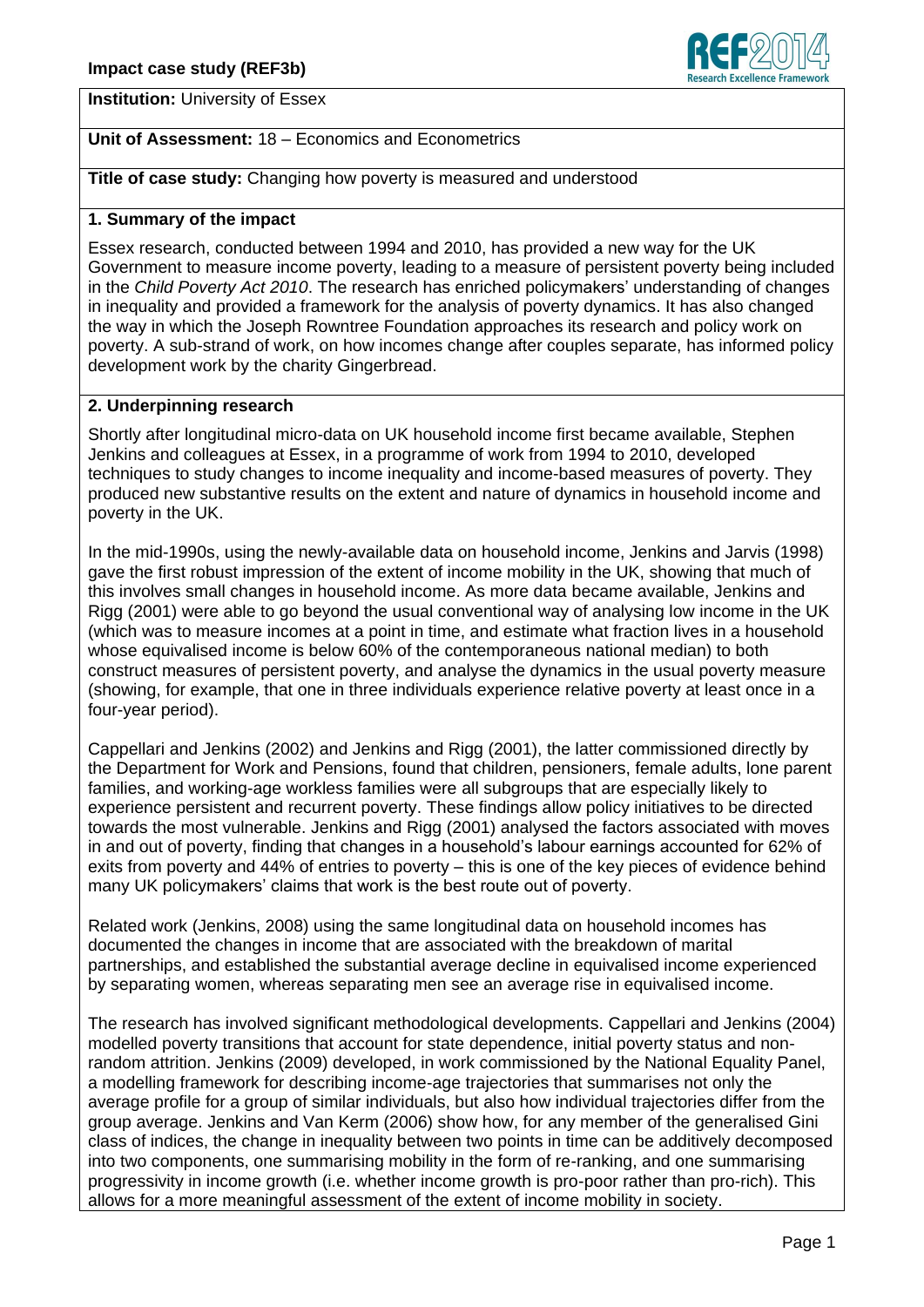

**Institution:** University of Essex

# **Unit of Assessment:** 18 – Economics and Econometrics

**Title of case study:** Changing how poverty is measured and understood

#### **1. Summary of the impact**

Essex research, conducted between 1994 and 2010, has provided a new way for the UK Government to measure income poverty, leading to a measure of persistent poverty being included in the *Child Poverty Act 2010*. The research has enriched policymakers' understanding of changes in inequality and provided a framework for the analysis of poverty dynamics. It has also changed the way in which the Joseph Rowntree Foundation approaches its research and policy work on poverty. A sub-strand of work, on how incomes change after couples separate, has informed policy development work by the charity Gingerbread.

#### **2. Underpinning research**

Shortly after longitudinal micro-data on UK household income first became available, Stephen Jenkins and colleagues at Essex, in a programme of work from 1994 to 2010, developed techniques to study changes to income inequality and income-based measures of poverty. They produced new substantive results on the extent and nature of dynamics in household income and poverty in the UK.

In the mid-1990s, using the newly-available data on household income, Jenkins and Jarvis (1998) gave the first robust impression of the extent of income mobility in the UK, showing that much of this involves small changes in household income. As more data became available, Jenkins and Rigg (2001) were able to go beyond the usual conventional way of analysing low income in the UK (which was to measure incomes at a point in time, and estimate what fraction lives in a household whose equivalised income is below 60% of the contemporaneous national median) to both construct measures of persistent poverty, and analyse the dynamics in the usual poverty measure (showing, for example, that one in three individuals experience relative poverty at least once in a four-year period).

Cappellari and Jenkins (2002) and Jenkins and Rigg (2001), the latter commissioned directly by the Department for Work and Pensions, found that children, pensioners, female adults, lone parent families, and working-age workless families were all subgroups that are especially likely to experience persistent and recurrent poverty. These findings allow policy initiatives to be directed towards the most vulnerable. Jenkins and Rigg (2001) analysed the factors associated with moves in and out of poverty, finding that changes in a household's labour earnings accounted for 62% of exits from poverty and 44% of entries to poverty – this is one of the key pieces of evidence behind many UK policymakers' claims that work is the best route out of poverty.

Related work (Jenkins, 2008) using the same longitudinal data on household incomes has documented the changes in income that are associated with the breakdown of marital partnerships, and established the substantial average decline in equivalised income experienced by separating women, whereas separating men see an average rise in equivalised income.

The research has involved significant methodological developments. Cappellari and Jenkins (2004) modelled poverty transitions that account for state dependence, initial poverty status and nonrandom attrition. Jenkins (2009) developed, in work commissioned by the National Equality Panel, a modelling framework for describing income-age trajectories that summarises not only the average profile for a group of similar individuals, but also how individual trajectories differ from the group average. Jenkins and Van Kerm (2006) show how, for any member of the generalised Gini class of indices, the change in inequality between two points in time can be additively decomposed into two components, one summarising mobility in the form of re-ranking, and one summarising progressivity in income growth (i.e. whether income growth is pro-poor rather than pro-rich). This allows for a more meaningful assessment of the extent of income mobility in society.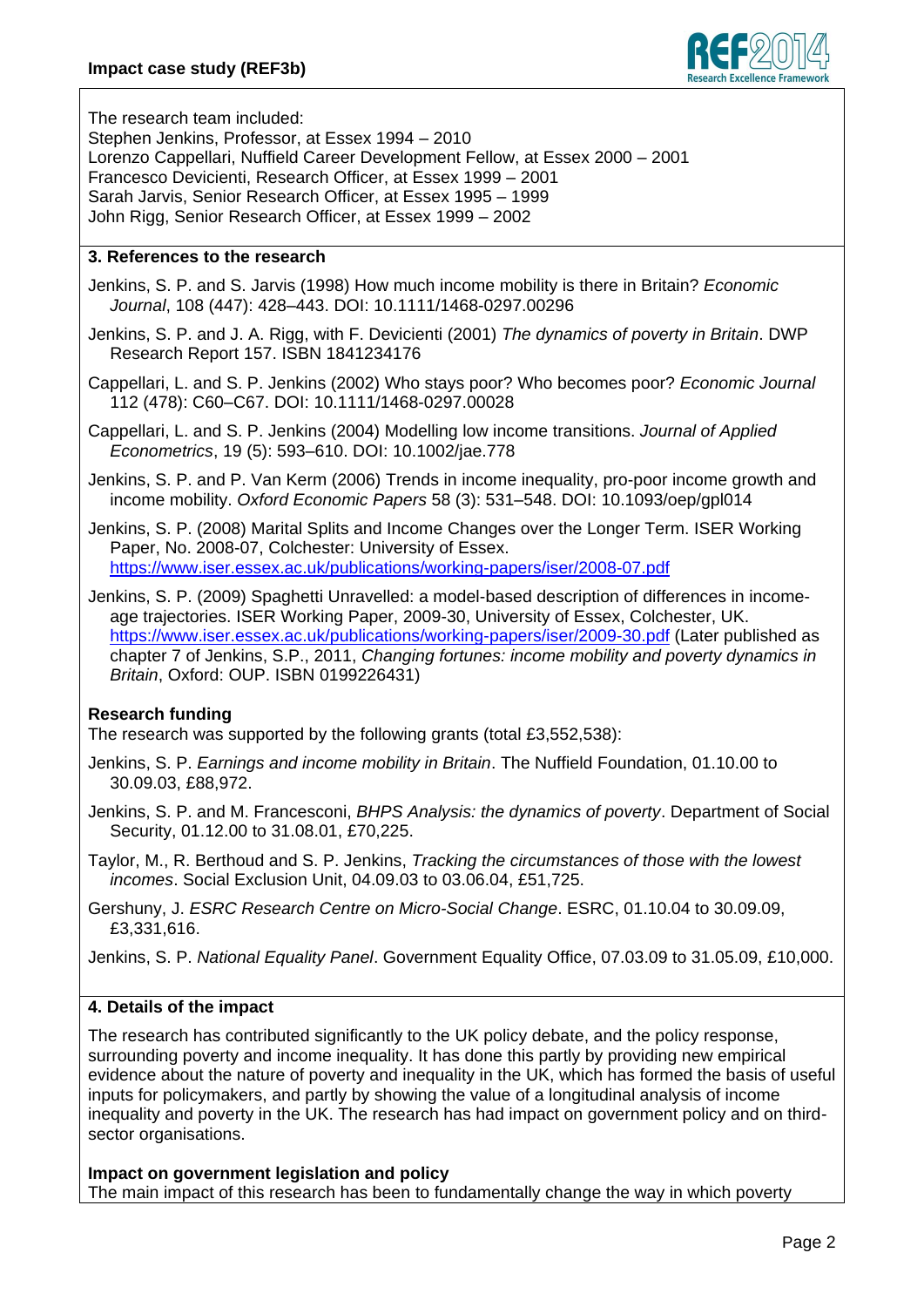

The research team included:

Stephen Jenkins, Professor, at Essex 1994 – 2010 Lorenzo Cappellari, Nuffield Career Development Fellow, at Essex 2000 – 2001 Francesco Devicienti, Research Officer, at Essex 1999 – 2001 Sarah Jarvis, Senior Research Officer, at Essex 1995 – 1999 John Rigg, Senior Research Officer, at Essex 1999 – 2002

# **3. References to the research**

Jenkins, S. P. and S. Jarvis (1998) How much income mobility is there in Britain? *Economic Journal*, 108 (447): 428–443. DOI: 10.1111/1468-0297.00296

Jenkins, S. P. and J. A. Rigg, with F. Devicienti (2001) *The dynamics of poverty in Britain*. DWP Research Report 157. ISBN 1841234176

Cappellari, L. and S. P. Jenkins (2002) Who stays poor? Who becomes poor? *Economic Journal* 112 (478): C60–C67. DOI: 10.1111/1468-0297.00028

Cappellari, L. and S. P. Jenkins (2004) Modelling low income transitions. *Journal of Applied Econometrics*, 19 (5): 593–610. DOI: 10.1002/jae.778

Jenkins, S. P. and P. Van Kerm (2006) Trends in income inequality, pro-poor income growth and income mobility. *Oxford Economic Papers* 58 (3): 531–548. DOI: 10.1093/oep/gpl014

Jenkins, S. P. (2008) Marital Splits and Income Changes over the Longer Term. ISER Working Paper, No. 2008-07, Colchester: University of Essex. <https://www.iser.essex.ac.uk/publications/working-papers/iser/2008-07.pdf>

Jenkins, S. P. (2009) Spaghetti Unravelled: a model-based description of differences in incomeage trajectories. ISER Working Paper, 2009-30, University of Essex, Colchester, UK. <https://www.iser.essex.ac.uk/publications/working-papers/iser/2009-30.pdf> (Later published as chapter 7 of Jenkins, S.P., 2011, *Changing fortunes: income mobility and poverty dynamics in Britain*, Oxford: OUP. ISBN 0199226431)

# **Research funding**

The research was supported by the following grants (total £3,552,538):

Jenkins, S. P. *Earnings and income mobility in Britain*. The Nuffield Foundation, 01.10.00 to 30.09.03, £88,972.

Jenkins, S. P. and M. Francesconi, *BHPS Analysis: the dynamics of poverty*. Department of Social Security, 01.12.00 to 31.08.01, £70,225.

Taylor, M., R. Berthoud and S. P. Jenkins, *Tracking the circumstances of those with the lowest incomes*. Social Exclusion Unit, 04.09.03 to 03.06.04, £51,725.

Gershuny, J. *ESRC Research Centre on Micro-Social Change*. ESRC, 01.10.04 to 30.09.09, £3,331,616.

Jenkins, S. P. *National Equality Panel*. Government Equality Office, 07.03.09 to 31.05.09, £10,000.

# **4. Details of the impact**

The research has contributed significantly to the UK policy debate, and the policy response, surrounding poverty and income inequality. It has done this partly by providing new empirical evidence about the nature of poverty and inequality in the UK, which has formed the basis of useful inputs for policymakers, and partly by showing the value of a longitudinal analysis of income inequality and poverty in the UK. The research has had impact on government policy and on thirdsector organisations.

**Impact on government legislation and policy**

The main impact of this research has been to fundamentally change the way in which poverty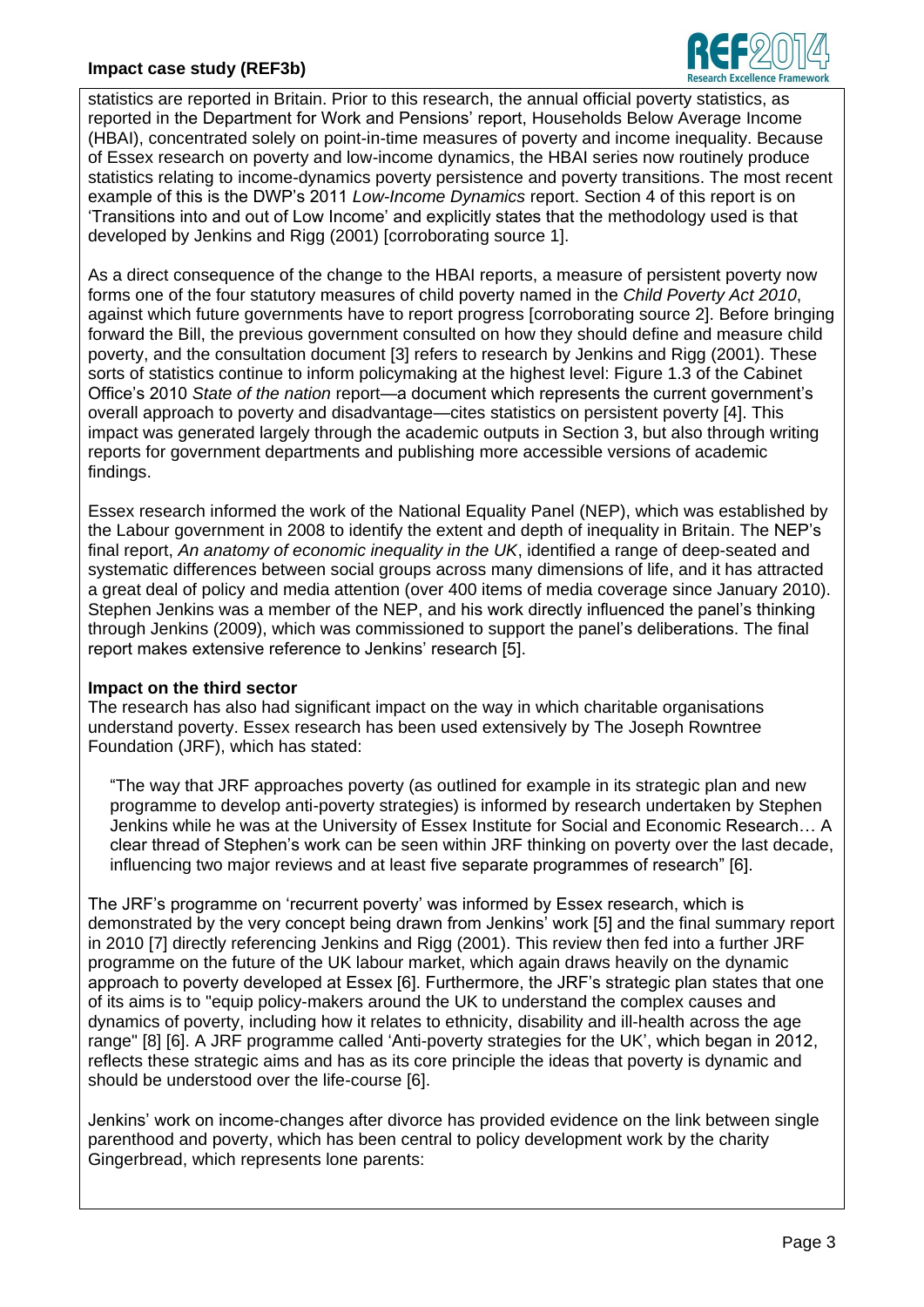

statistics are reported in Britain. Prior to this research, the annual official poverty statistics, as reported in the Department for Work and Pensions' report, Households Below Average Income (HBAI), concentrated solely on point-in-time measures of poverty and income inequality. Because of Essex research on poverty and low-income dynamics, the HBAI series now routinely produce statistics relating to income-dynamics poverty persistence and poverty transitions. The most recent example of this is the DWP's 2011 *Low-Income Dynamics* report. Section 4 of this report is on 'Transitions into and out of Low Income' and explicitly states that the methodology used is that developed by Jenkins and Rigg (2001) [corroborating source 1].

As a direct consequence of the change to the HBAI reports, a measure of persistent poverty now forms one of the four statutory measures of child poverty named in the *Child Poverty Act 2010*, against which future governments have to report progress [corroborating source 2]. Before bringing forward the Bill, the previous government consulted on how they should define and measure child poverty, and the consultation document [3] refers to research by Jenkins and Rigg (2001). These sorts of statistics continue to inform policymaking at the highest level: Figure 1.3 of the Cabinet Office's 2010 *State of the nation* report—a document which represents the current government's overall approach to poverty and disadvantage—cites statistics on persistent poverty [4]. This impact was generated largely through the academic outputs in Section 3, but also through writing reports for government departments and publishing more accessible versions of academic findings.

Essex research informed the work of the National Equality Panel (NEP), which was established by the Labour government in 2008 to identify the extent and depth of inequality in Britain. The NEP's final report, *An anatomy of economic inequality in the UK*, identified a range of deep-seated and systematic differences between social groups across many dimensions of life, and it has attracted a great deal of policy and media attention (over 400 items of media coverage since January 2010). Stephen Jenkins was a member of the NEP, and his work directly influenced the panel's thinking through Jenkins (2009), which was commissioned to support the panel's deliberations. The final report makes extensive reference to Jenkins' research [5].

# **Impact on the third sector**

The research has also had significant impact on the way in which charitable organisations understand poverty. Essex research has been used extensively by The Joseph Rowntree Foundation (JRF), which has stated:

"The way that JRF approaches poverty (as outlined for example in its strategic plan and new programme to develop anti-poverty strategies) is informed by research undertaken by Stephen Jenkins while he was at the University of Essex Institute for Social and Economic Research… A clear thread of Stephen's work can be seen within JRF thinking on poverty over the last decade, influencing two major reviews and at least five separate programmes of research" [6].

The JRF's programme on 'recurrent poverty' was informed by Essex research, which is demonstrated by the very concept being drawn from Jenkins' work [5] and the final summary report in 2010 [7] directly referencing Jenkins and Rigg (2001). This review then fed into a further JRF programme on the future of the UK labour market, which again draws heavily on the dynamic approach to poverty developed at Essex [6]. Furthermore, the JRF's strategic plan states that one of its aims is to "equip policy-makers around the UK to understand the complex causes and dynamics of poverty, including how it relates to ethnicity, disability and ill-health across the age range" [8] [6]. A JRF programme called 'Anti-poverty strategies for the UK', which began in 2012, reflects these strategic aims and has as its core principle the ideas that poverty is dynamic and should be understood over the life-course [6].

Jenkins' work on income-changes after divorce has provided evidence on the link between single parenthood and poverty, which has been central to policy development work by the charity Gingerbread, which represents lone parents: